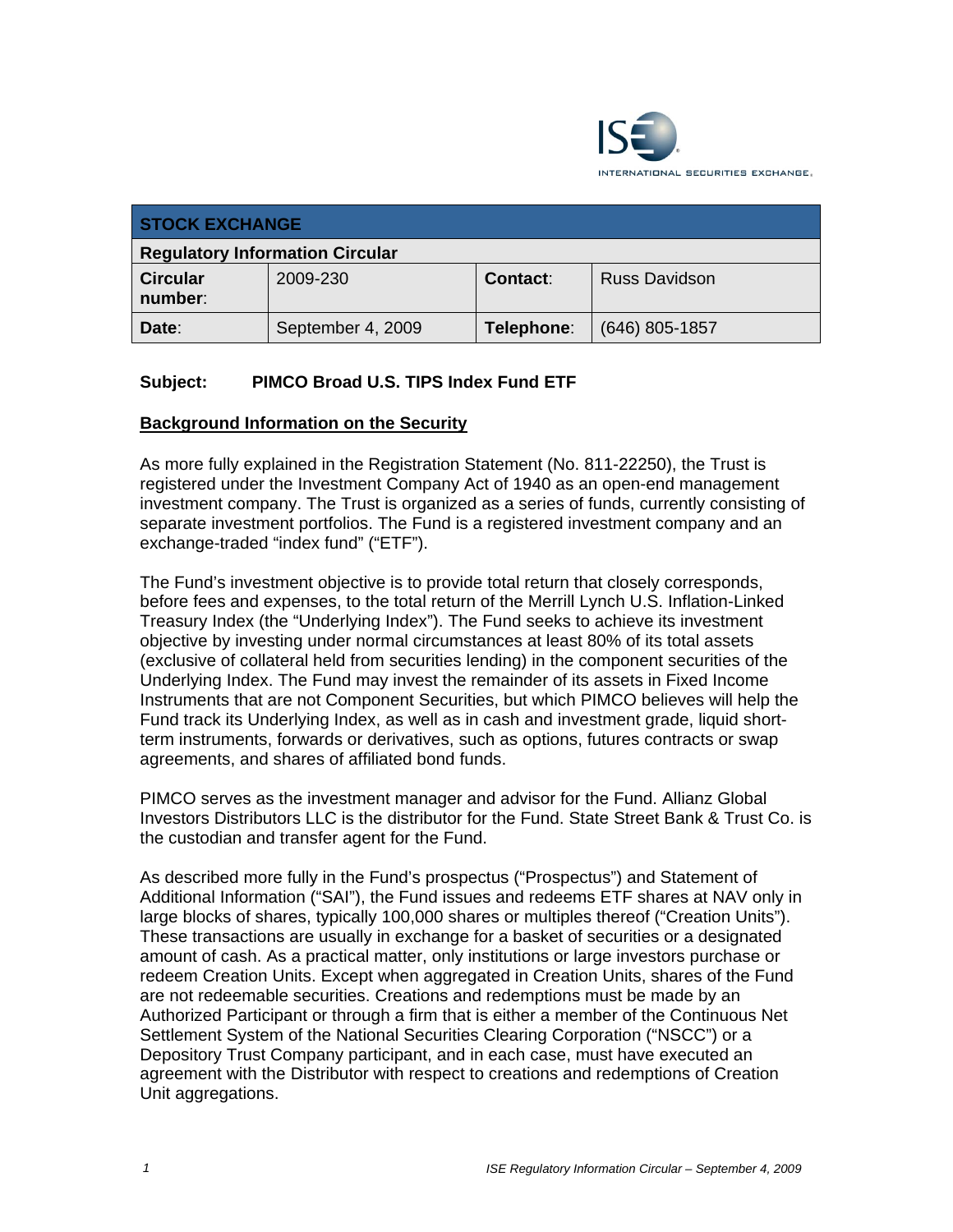

| <b>STOCK EXCHANGE</b>                  |                   |            |                      |  |
|----------------------------------------|-------------------|------------|----------------------|--|
| <b>Regulatory Information Circular</b> |                   |            |                      |  |
| <b>Circular</b><br>number:             | 2009-230          | Contact:   | <b>Russ Davidson</b> |  |
| Date:                                  | September 4, 2009 | Telephone: | $(646)$ 805-1857     |  |

# **Subject: PIMCO Broad U.S. TIPS Index Fund ETF**

## **Background Information on the Security**

As more fully explained in the Registration Statement (No. 811-22250), the Trust is registered under the Investment Company Act of 1940 as an open-end management investment company. The Trust is organized as a series of funds, currently consisting of separate investment portfolios. The Fund is a registered investment company and an exchange-traded "index fund" ("ETF").

The Fund's investment objective is to provide total return that closely corresponds, before fees and expenses, to the total return of the Merrill Lynch U.S. Inflation-Linked Treasury Index (the "Underlying Index"). The Fund seeks to achieve its investment objective by investing under normal circumstances at least 80% of its total assets (exclusive of collateral held from securities lending) in the component securities of the Underlying Index. The Fund may invest the remainder of its assets in Fixed Income Instruments that are not Component Securities, but which PIMCO believes will help the Fund track its Underlying Index, as well as in cash and investment grade, liquid shortterm instruments, forwards or derivatives, such as options, futures contracts or swap agreements, and shares of affiliated bond funds.

PIMCO serves as the investment manager and advisor for the Fund. Allianz Global Investors Distributors LLC is the distributor for the Fund. State Street Bank & Trust Co. is the custodian and transfer agent for the Fund.

As described more fully in the Fund's prospectus ("Prospectus") and Statement of Additional Information ("SAI"), the Fund issues and redeems ETF shares at NAV only in large blocks of shares, typically 100,000 shares or multiples thereof ("Creation Units"). These transactions are usually in exchange for a basket of securities or a designated amount of cash. As a practical matter, only institutions or large investors purchase or redeem Creation Units. Except when aggregated in Creation Units, shares of the Fund are not redeemable securities. Creations and redemptions must be made by an Authorized Participant or through a firm that is either a member of the Continuous Net Settlement System of the National Securities Clearing Corporation ("NSCC") or a Depository Trust Company participant, and in each case, must have executed an agreement with the Distributor with respect to creations and redemptions of Creation Unit aggregations.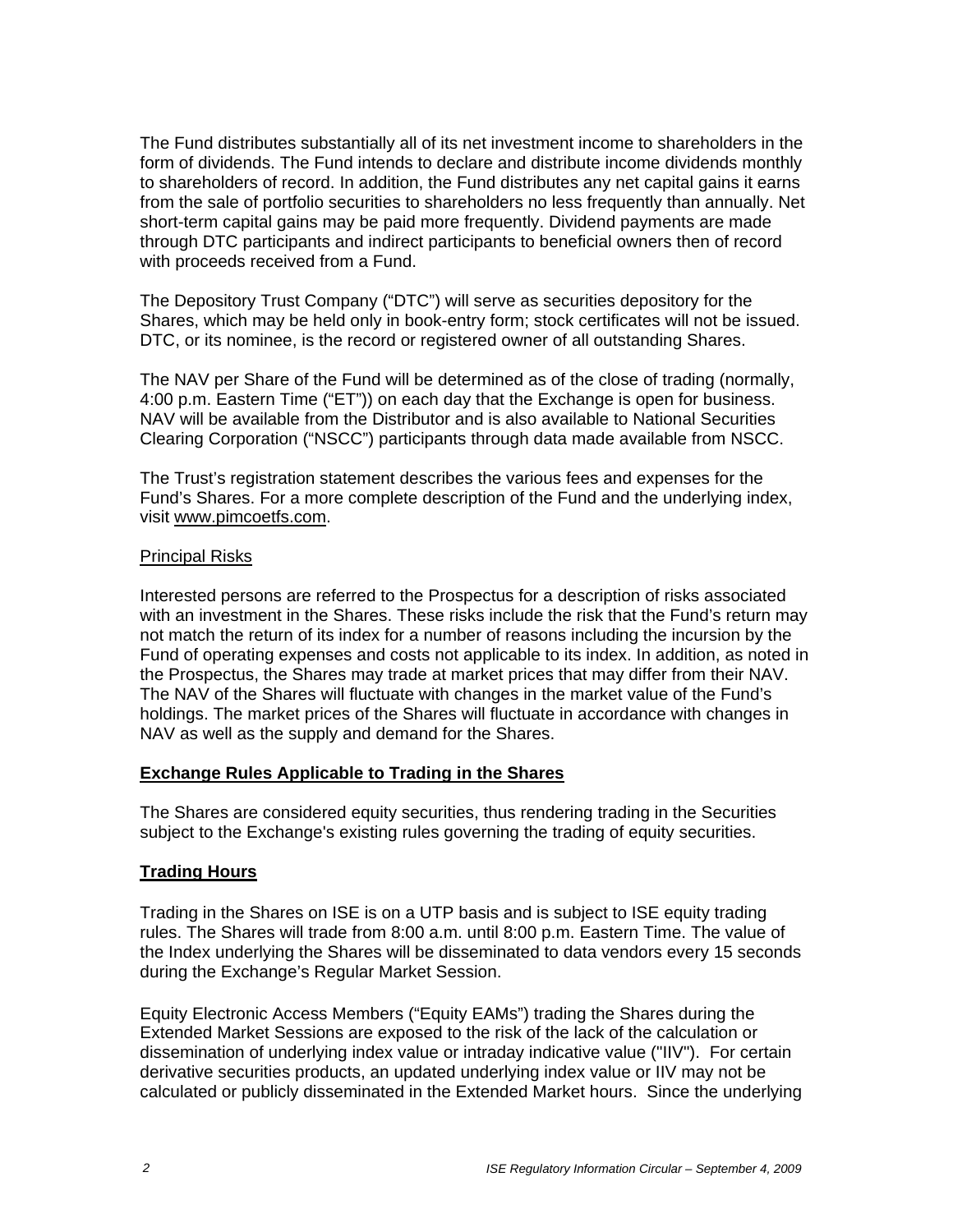The Fund distributes substantially all of its net investment income to shareholders in the form of dividends. The Fund intends to declare and distribute income dividends monthly to shareholders of record. In addition, the Fund distributes any net capital gains it earns from the sale of portfolio securities to shareholders no less frequently than annually. Net short-term capital gains may be paid more frequently. Dividend payments are made through DTC participants and indirect participants to beneficial owners then of record with proceeds received from a Fund.

The Depository Trust Company ("DTC") will serve as securities depository for the Shares, which may be held only in book-entry form; stock certificates will not be issued. DTC, or its nominee, is the record or registered owner of all outstanding Shares.

The NAV per Share of the Fund will be determined as of the close of trading (normally, 4:00 p.m. Eastern Time ("ET")) on each day that the Exchange is open for business. NAV will be available from the Distributor and is also available to National Securities Clearing Corporation ("NSCC") participants through data made available from NSCC.

The Trust's registration statement describes the various fees and expenses for the Fund's Shares. For a more complete description of the Fund and the underlying index, visit www.pimcoetfs.com.

#### Principal Risks

Interested persons are referred to the Prospectus for a description of risks associated with an investment in the Shares. These risks include the risk that the Fund's return may not match the return of its index for a number of reasons including the incursion by the Fund of operating expenses and costs not applicable to its index. In addition, as noted in the Prospectus, the Shares may trade at market prices that may differ from their NAV. The NAV of the Shares will fluctuate with changes in the market value of the Fund's holdings. The market prices of the Shares will fluctuate in accordance with changes in NAV as well as the supply and demand for the Shares.

## **Exchange Rules Applicable to Trading in the Shares**

The Shares are considered equity securities, thus rendering trading in the Securities subject to the Exchange's existing rules governing the trading of equity securities.

## **Trading Hours**

Trading in the Shares on ISE is on a UTP basis and is subject to ISE equity trading rules. The Shares will trade from 8:00 a.m. until 8:00 p.m. Eastern Time. The value of the Index underlying the Shares will be disseminated to data vendors every 15 seconds during the Exchange's Regular Market Session.

Equity Electronic Access Members ("Equity EAMs") trading the Shares during the Extended Market Sessions are exposed to the risk of the lack of the calculation or dissemination of underlying index value or intraday indicative value ("IIV"). For certain derivative securities products, an updated underlying index value or IIV may not be calculated or publicly disseminated in the Extended Market hours. Since the underlying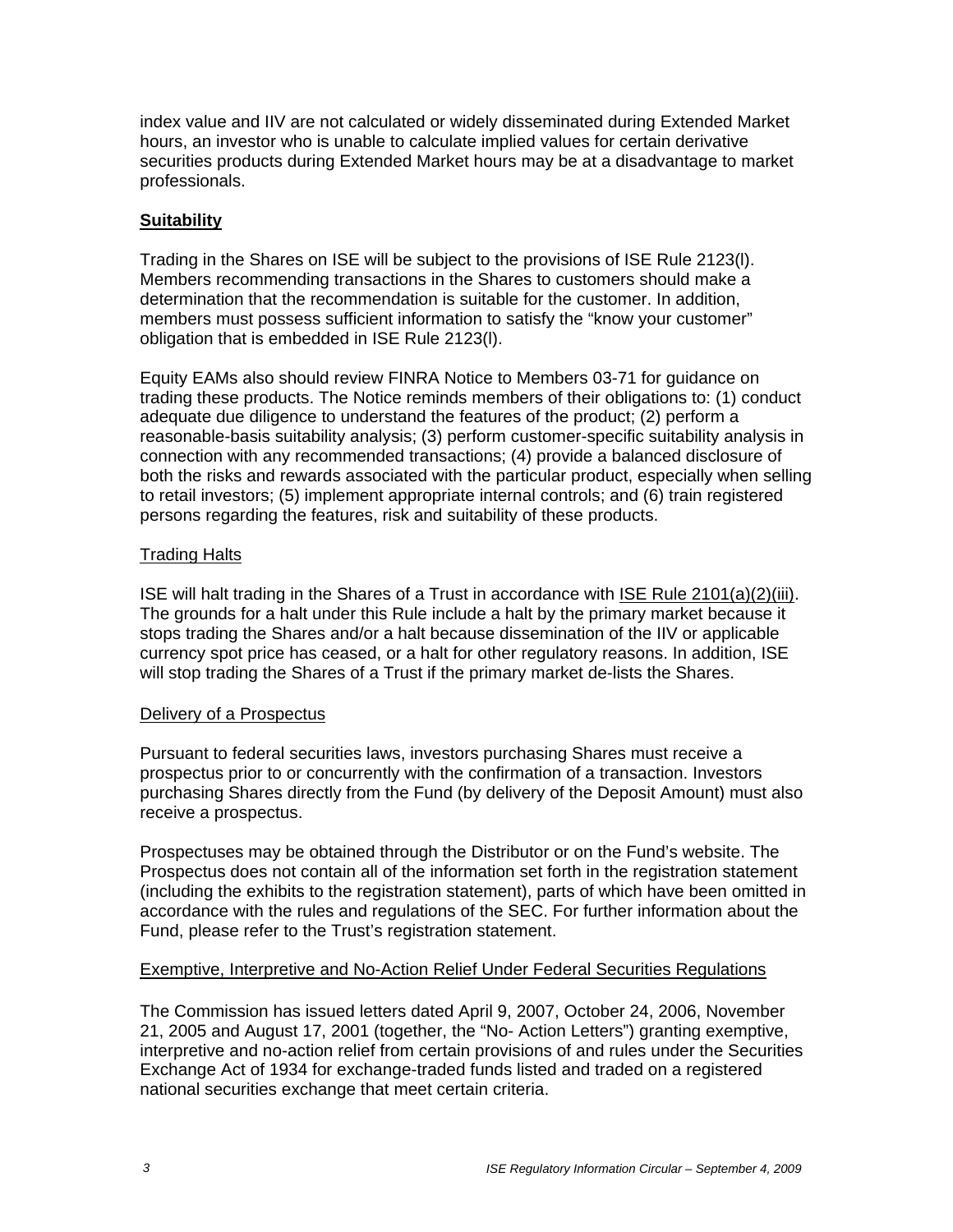index value and IIV are not calculated or widely disseminated during Extended Market hours, an investor who is unable to calculate implied values for certain derivative securities products during Extended Market hours may be at a disadvantage to market professionals.

# **Suitability**

Trading in the Shares on ISE will be subject to the provisions of ISE Rule 2123(l). Members recommending transactions in the Shares to customers should make a determination that the recommendation is suitable for the customer. In addition, members must possess sufficient information to satisfy the "know your customer" obligation that is embedded in ISE Rule 2123(l).

Equity EAMs also should review FINRA Notice to Members 03-71 for guidance on trading these products. The Notice reminds members of their obligations to: (1) conduct adequate due diligence to understand the features of the product; (2) perform a reasonable-basis suitability analysis; (3) perform customer-specific suitability analysis in connection with any recommended transactions; (4) provide a balanced disclosure of both the risks and rewards associated with the particular product, especially when selling to retail investors; (5) implement appropriate internal controls; and (6) train registered persons regarding the features, risk and suitability of these products.

## Trading Halts

ISE will halt trading in the Shares of a Trust in accordance with ISE Rule 2101(a)(2)(iii). The grounds for a halt under this Rule include a halt by the primary market because it stops trading the Shares and/or a halt because dissemination of the IIV or applicable currency spot price has ceased, or a halt for other regulatory reasons. In addition, ISE will stop trading the Shares of a Trust if the primary market de-lists the Shares.

## Delivery of a Prospectus

Pursuant to federal securities laws, investors purchasing Shares must receive a prospectus prior to or concurrently with the confirmation of a transaction. Investors purchasing Shares directly from the Fund (by delivery of the Deposit Amount) must also receive a prospectus.

Prospectuses may be obtained through the Distributor or on the Fund's website. The Prospectus does not contain all of the information set forth in the registration statement (including the exhibits to the registration statement), parts of which have been omitted in accordance with the rules and regulations of the SEC. For further information about the Fund, please refer to the Trust's registration statement.

## Exemptive, Interpretive and No-Action Relief Under Federal Securities Regulations

The Commission has issued letters dated April 9, 2007, October 24, 2006, November 21, 2005 and August 17, 2001 (together, the "No- Action Letters") granting exemptive, interpretive and no-action relief from certain provisions of and rules under the Securities Exchange Act of 1934 for exchange-traded funds listed and traded on a registered national securities exchange that meet certain criteria.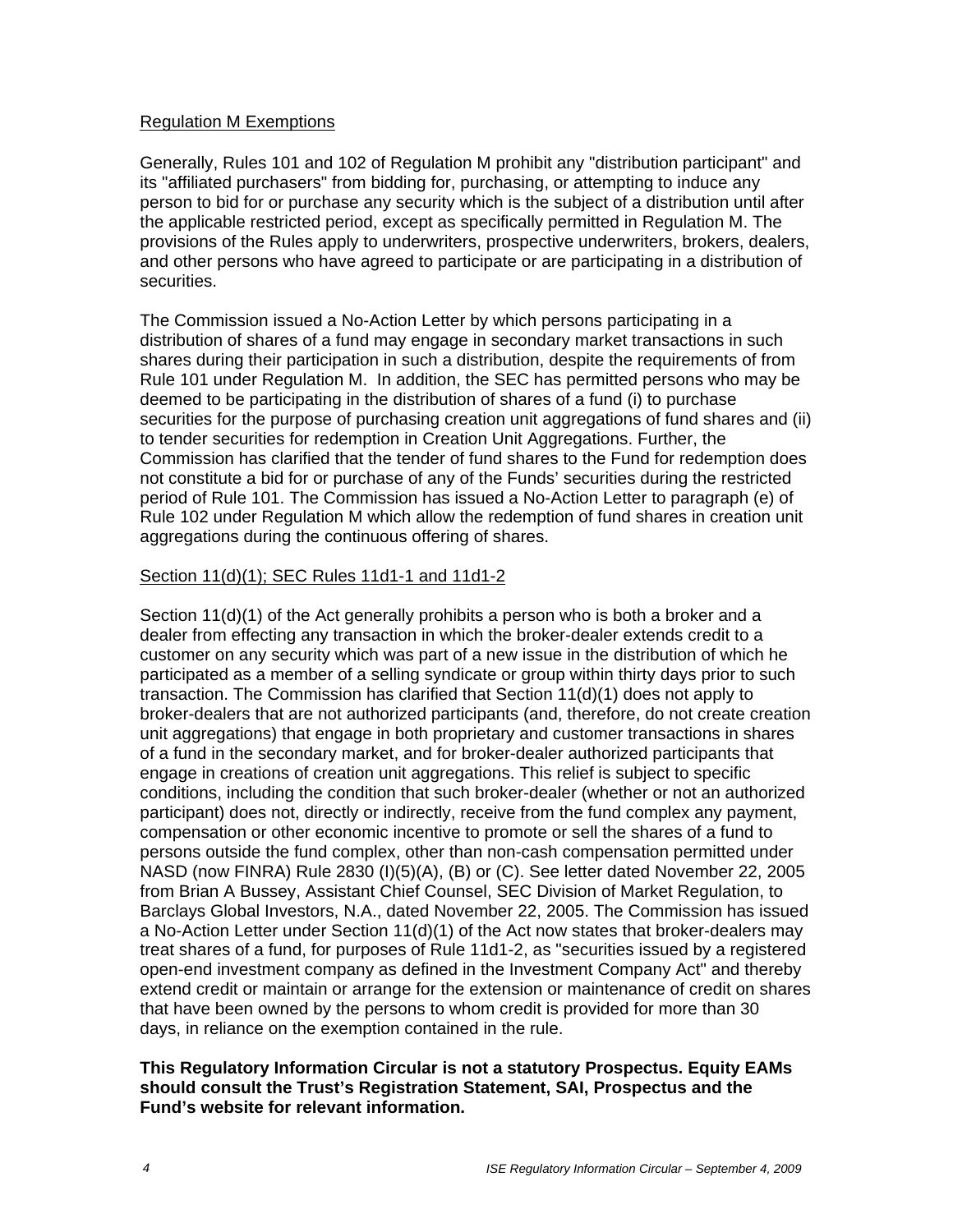#### Regulation M Exemptions

Generally, Rules 101 and 102 of Regulation M prohibit any "distribution participant" and its "affiliated purchasers" from bidding for, purchasing, or attempting to induce any person to bid for or purchase any security which is the subject of a distribution until after the applicable restricted period, except as specifically permitted in Regulation M. The provisions of the Rules apply to underwriters, prospective underwriters, brokers, dealers, and other persons who have agreed to participate or are participating in a distribution of securities.

The Commission issued a No-Action Letter by which persons participating in a distribution of shares of a fund may engage in secondary market transactions in such shares during their participation in such a distribution, despite the requirements of from Rule 101 under Regulation M. In addition, the SEC has permitted persons who may be deemed to be participating in the distribution of shares of a fund (i) to purchase securities for the purpose of purchasing creation unit aggregations of fund shares and (ii) to tender securities for redemption in Creation Unit Aggregations. Further, the Commission has clarified that the tender of fund shares to the Fund for redemption does not constitute a bid for or purchase of any of the Funds' securities during the restricted period of Rule 101. The Commission has issued a No-Action Letter to paragraph (e) of Rule 102 under Regulation M which allow the redemption of fund shares in creation unit aggregations during the continuous offering of shares.

## Section 11(d)(1); SEC Rules 11d1-1 and 11d1-2

Section 11(d)(1) of the Act generally prohibits a person who is both a broker and a dealer from effecting any transaction in which the broker-dealer extends credit to a customer on any security which was part of a new issue in the distribution of which he participated as a member of a selling syndicate or group within thirty days prior to such transaction. The Commission has clarified that Section 11(d)(1) does not apply to broker-dealers that are not authorized participants (and, therefore, do not create creation unit aggregations) that engage in both proprietary and customer transactions in shares of a fund in the secondary market, and for broker-dealer authorized participants that engage in creations of creation unit aggregations. This relief is subject to specific conditions, including the condition that such broker-dealer (whether or not an authorized participant) does not, directly or indirectly, receive from the fund complex any payment, compensation or other economic incentive to promote or sell the shares of a fund to persons outside the fund complex, other than non-cash compensation permitted under NASD (now FINRA) Rule 2830 (I)(5)(A), (B) or (C). See letter dated November 22, 2005 from Brian A Bussey, Assistant Chief Counsel, SEC Division of Market Regulation, to Barclays Global Investors, N.A., dated November 22, 2005. The Commission has issued a No-Action Letter under Section 11(d)(1) of the Act now states that broker-dealers may treat shares of a fund, for purposes of Rule 11d1-2, as "securities issued by a registered open-end investment company as defined in the Investment Company Act" and thereby extend credit or maintain or arrange for the extension or maintenance of credit on shares that have been owned by the persons to whom credit is provided for more than 30 days, in reliance on the exemption contained in the rule.

#### **This Regulatory Information Circular is not a statutory Prospectus. Equity EAMs should consult the Trust's Registration Statement, SAI, Prospectus and the Fund's website for relevant information.**